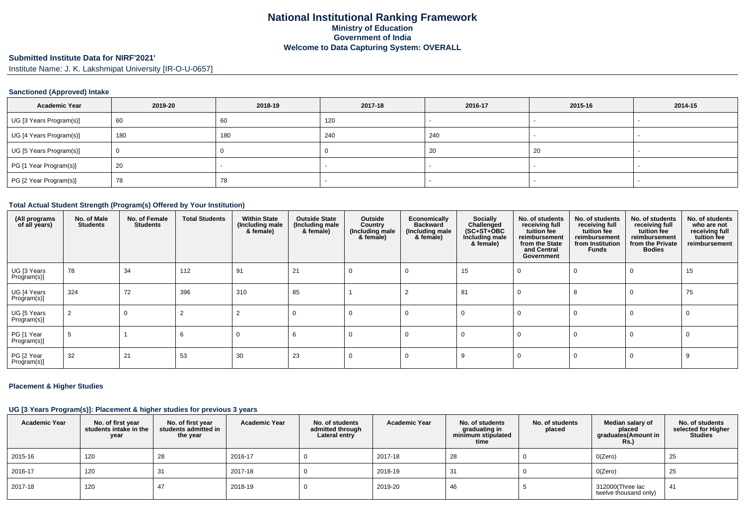# **Submitted Institute Data for NIRF'2021'**

Institute Name: J. K. Lakshmipat University [IR-O-U-0657]

### **Sanctioned (Approved) Intake**

| <b>Academic Year</b>    | 2019-20 | 2018-19 | 2017-18 | 2016-17 | 2015-16 | 2014-15 |
|-------------------------|---------|---------|---------|---------|---------|---------|
| UG [3 Years Program(s)] | 60      | 60      | 120     |         |         |         |
| UG [4 Years Program(s)] | 180     | 180     | 240     | 240     |         |         |
| UG [5 Years Program(s)] |         |         |         | 20      | 20      |         |
| PG [1 Year Program(s)]  | 20      |         |         |         |         |         |
| PG [2 Year Program(s)]  | 78      | 78      |         |         |         |         |

#### **Total Actual Student Strength (Program(s) Offered by Your Institution)**

| (All programs<br>of all years) | No. of Male<br><b>Students</b> | No. of Female<br><b>Students</b> | <b>Total Students</b> | <b>Within State</b><br>(Including male<br>& female) | <b>Outside State</b><br>(Including male<br>& female) | Outside<br>Country<br>(Including male<br>& female) | Economically<br><b>Backward</b><br>(Including male<br>& female) | Socially<br>Challenged<br>$(SC+ST+OBC)$<br>Including male<br>& female) | No. of students<br>receiving full<br>tuition fee<br>reimbursement<br>from the State<br>and Central<br>Government | No. of students<br>receiving full<br>tuition fee<br>reimbursement<br>from Institution<br>Funds | No. of students<br>receiving full<br>tuition fee<br>reimbursement<br>from the Private<br><b>Bodies</b> | No. of students<br>who are not<br>receiving full<br>tuition fee<br>reimbursement |
|--------------------------------|--------------------------------|----------------------------------|-----------------------|-----------------------------------------------------|------------------------------------------------------|----------------------------------------------------|-----------------------------------------------------------------|------------------------------------------------------------------------|------------------------------------------------------------------------------------------------------------------|------------------------------------------------------------------------------------------------|--------------------------------------------------------------------------------------------------------|----------------------------------------------------------------------------------|
| UG [3 Years<br>Program(s)]     | 78                             | 34                               | 112                   | 91                                                  | 21                                                   | 0                                                  | 0                                                               | 15                                                                     |                                                                                                                  | $\Omega$                                                                                       |                                                                                                        | 15                                                                               |
| UG [4 Years<br>Program(s)]     | 324                            | 72                               | 396                   | 310                                                 | 85                                                   |                                                    |                                                                 | 81                                                                     | $\Omega$                                                                                                         | 8                                                                                              |                                                                                                        | 75                                                                               |
| UG [5 Years<br>Program(s)]     |                                |                                  |                       |                                                     | $\Omega$                                             | 0                                                  | $\Omega$                                                        | 0                                                                      | 0                                                                                                                | $\Omega$                                                                                       | $\Omega$                                                                                               |                                                                                  |
| PG [1 Year<br>Program(s)]      |                                |                                  |                       |                                                     |                                                      |                                                    | $\Omega$                                                        | 0                                                                      |                                                                                                                  | $\Omega$                                                                                       | $\Omega$                                                                                               |                                                                                  |
| PG [2 Year<br>Program(s)]      | 32                             | 21                               | 53                    | 30                                                  | 23                                                   |                                                    | $\Omega$                                                        |                                                                        |                                                                                                                  | $\Omega$                                                                                       |                                                                                                        |                                                                                  |

### **Placement & Higher Studies**

#### **UG [3 Years Program(s)]: Placement & higher studies for previous 3 years**

| <b>Academic Year</b> | No. of first year<br>students intake in the<br>year | No. of first year<br>students admitted in<br>the year | <b>Academic Year</b> | No. of students<br>admitted through<br>Lateral entry | <b>Academic Year</b> | No. of students<br>graduating in<br>minimum stipulated<br>time | No. of students<br>placed | Median salary of<br>placed<br>graduates(Amount in<br><b>Rs.)</b> | No. of students<br>selected for Higher<br><b>Studies</b> |
|----------------------|-----------------------------------------------------|-------------------------------------------------------|----------------------|------------------------------------------------------|----------------------|----------------------------------------------------------------|---------------------------|------------------------------------------------------------------|----------------------------------------------------------|
| 2015-16              | 120                                                 | 28                                                    | 2016-17              |                                                      | 2017-18              | 28                                                             |                           | O(Zero)                                                          | 25                                                       |
| 2016-17              | 120                                                 | -31                                                   | 2017-18              |                                                      | 2018-19              | 31                                                             |                           | O(Zero)                                                          | 25                                                       |
| 2017-18              | 120                                                 |                                                       | 2018-19              |                                                      | 2019-20              | 46                                                             |                           | 312000(Three lac<br>twelve thousand only)                        | 41                                                       |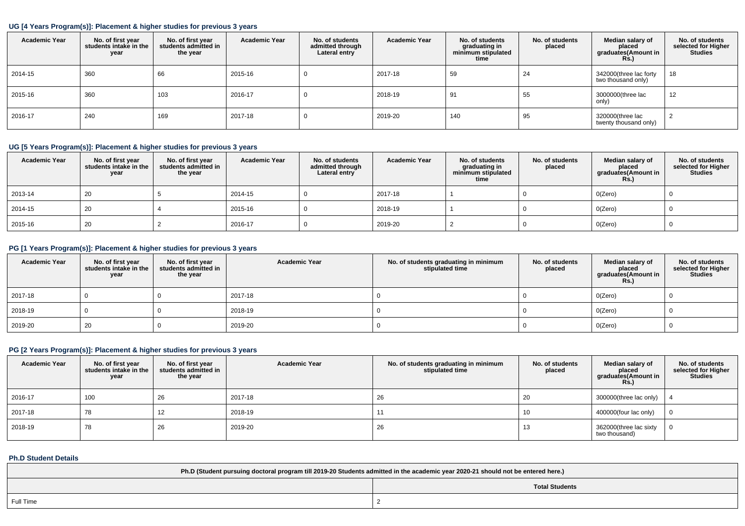### **UG [4 Years Program(s)]: Placement & higher studies for previous 3 years**

| <b>Academic Year</b> | No. of first year<br>students intake in the<br>year | No. of first vear<br>students admitted in<br>the year | <b>Academic Year</b> | No. of students<br>admitted through<br>Lateral entry | <b>Academic Year</b> | No. of students<br>graduating in<br>minimum stipulated<br>time | No. of students<br>placed | Median salary of<br>placed<br>graduates(Amount in<br>Rs.) | No. of students<br>selected for Higher<br><b>Studies</b> |
|----------------------|-----------------------------------------------------|-------------------------------------------------------|----------------------|------------------------------------------------------|----------------------|----------------------------------------------------------------|---------------------------|-----------------------------------------------------------|----------------------------------------------------------|
| 2014-15              | 360                                                 | 66                                                    | 2015-16              | U                                                    | 2017-18              | 59                                                             | 24                        | 342000(three lac forty<br>two thousand only)              | 18                                                       |
| 2015-16              | 360                                                 | 103                                                   | 2016-17              | υ                                                    | 2018-19              | 91                                                             | 55                        | 3000000(three lac<br>only)                                | 12                                                       |
| 2016-17              | 240                                                 | 169                                                   | 2017-18              | υ                                                    | 2019-20              | 140                                                            | 95                        | 320000(three lac<br>twenty thousand only)                 | 2                                                        |

### **UG [5 Years Program(s)]: Placement & higher studies for previous 3 years**

| <b>Academic Year</b> | No. of first year<br>students intake in the<br>year | No. of first year<br>students admitted in<br>the year | <b>Academic Year</b> | No. of students<br>admitted through<br>Lateral entry | <b>Academic Year</b> | No. of students<br>graduating in<br>minimum stipulated<br>time | No. of students<br>placed | Median salary of<br>placed<br>graduates(Amount in<br><b>Rs.)</b> | No. of students<br>selected for Higher<br><b>Studies</b> |
|----------------------|-----------------------------------------------------|-------------------------------------------------------|----------------------|------------------------------------------------------|----------------------|----------------------------------------------------------------|---------------------------|------------------------------------------------------------------|----------------------------------------------------------|
| 2013-14              | 20                                                  |                                                       | 2014-15              |                                                      | 2017-18              |                                                                |                           | O(Zero)                                                          |                                                          |
| 2014-15              | 20                                                  |                                                       | 2015-16              |                                                      | 2018-19              |                                                                |                           | O(Zero)                                                          |                                                          |
| 2015-16              | 20                                                  |                                                       | 2016-17              |                                                      | 2019-20              |                                                                |                           | O(Zero)                                                          |                                                          |

# **PG [1 Years Program(s)]: Placement & higher studies for previous 3 years**

| <b>Academic Year</b> | No. of first year<br>students intake in the<br>year | No. of first year<br>students admitted in<br>the year | <b>Academic Year</b> | No. of students graduating in minimum<br>stipulated time | No. of students<br>placed | Median salary of<br>placed<br>graduates(Amount in<br><b>Rs.)</b> | No. of students<br>selected for Higher<br><b>Studies</b> |
|----------------------|-----------------------------------------------------|-------------------------------------------------------|----------------------|----------------------------------------------------------|---------------------------|------------------------------------------------------------------|----------------------------------------------------------|
| 2017-18              |                                                     |                                                       | 2017-18              |                                                          |                           | O(Zero)                                                          |                                                          |
| 2018-19              |                                                     |                                                       | 2018-19              |                                                          |                           | O(Zero)                                                          |                                                          |
| 2019-20              | 20                                                  |                                                       | 2019-20              |                                                          |                           | O(Zero)                                                          |                                                          |

# **PG [2 Years Program(s)]: Placement & higher studies for previous 3 years**

| <b>Academic Year</b> | No. of first year<br>students intake in the<br>year | No. of first year<br>students admitted in<br>the year | <b>Academic Year</b> | No. of students graduating in minimum<br>stipulated time | No. of students<br>placed | Median salary of<br>placed<br>graduates(Amount in<br>$Rs$ ) | No. of students<br>selected for Higher<br><b>Studies</b> |
|----------------------|-----------------------------------------------------|-------------------------------------------------------|----------------------|----------------------------------------------------------|---------------------------|-------------------------------------------------------------|----------------------------------------------------------|
| 2016-17              | 100                                                 | 26                                                    | 2017-18              | 26                                                       | 20                        | 300000(three lac only)                                      |                                                          |
| 2017-18              | 78                                                  |                                                       | 2018-19              |                                                          | 10                        | 400000(four lac only)                                       |                                                          |
| 2018-19              | 78                                                  | 26                                                    | 2019-20              | 26                                                       | 13                        | 362000(three lac sixty<br>two thousand)                     |                                                          |

### **Ph.D Student Details**

| Ph.D (Student pursuing doctoral program till 2019-20 Students admitted in the academic year 2020-21 should not be entered here.) |  |  |  |  |  |  |
|----------------------------------------------------------------------------------------------------------------------------------|--|--|--|--|--|--|
| <b>Total Students</b>                                                                                                            |  |  |  |  |  |  |
| Full Time                                                                                                                        |  |  |  |  |  |  |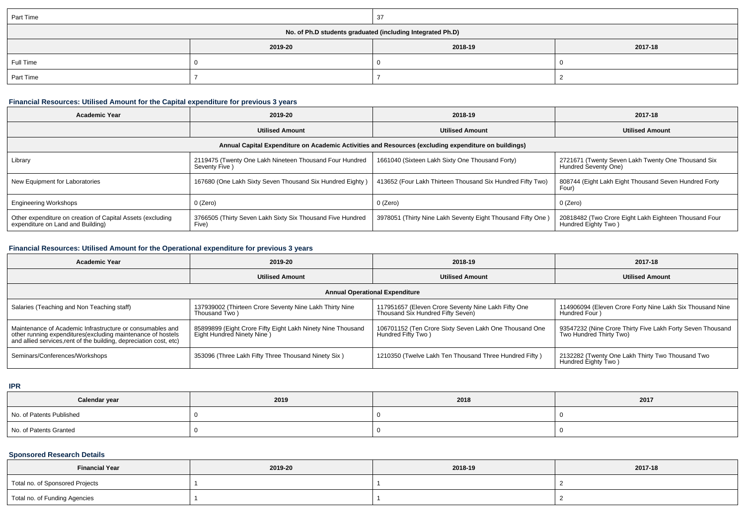| Part Time                                                  |         | 37      |         |  |  |  |  |
|------------------------------------------------------------|---------|---------|---------|--|--|--|--|
| No. of Ph.D students graduated (including Integrated Ph.D) |         |         |         |  |  |  |  |
|                                                            | 2019-20 | 2018-19 | 2017-18 |  |  |  |  |
| Full Time                                                  |         |         |         |  |  |  |  |
| Part Time                                                  |         |         |         |  |  |  |  |

# **Financial Resources: Utilised Amount for the Capital expenditure for previous 3 years**

| Academic Year                                                                                        | 2019-20                                                                   | 2018-19                                                    | 2017-18                                                                      |  |  |  |  |  |
|------------------------------------------------------------------------------------------------------|---------------------------------------------------------------------------|------------------------------------------------------------|------------------------------------------------------------------------------|--|--|--|--|--|
|                                                                                                      | <b>Utilised Amount</b>                                                    | <b>Utilised Amount</b>                                     | <b>Utilised Amount</b>                                                       |  |  |  |  |  |
| Annual Capital Expenditure on Academic Activities and Resources (excluding expenditure on buildings) |                                                                           |                                                            |                                                                              |  |  |  |  |  |
| Library                                                                                              | 2119475 (Twenty One Lakh Nineteen Thousand Four Hundred<br>Seventy Five ) | 1661040 (Sixteen Lakh Sixty One Thousand Forty)            | 2721671 (Twenty Seven Lakh Twenty One Thousand Six<br>Hundred Seventy One)   |  |  |  |  |  |
| New Equipment for Laboratories                                                                       | 167680 (One Lakh Sixty Seven Thousand Six Hundred Eighty)                 | 413652 (Four Lakh Thirteen Thousand Six Hundred Fifty Two) | 808744 (Eight Lakh Eight Thousand Seven Hundred Forty<br>Four)               |  |  |  |  |  |
| <b>Engineering Workshops</b>                                                                         | 0 (Zero)                                                                  | 0 (Zero)                                                   | 0 (Zero)                                                                     |  |  |  |  |  |
| Other expenditure on creation of Capital Assets (excluding<br>expenditure on Land and Building)      | 3766505 (Thirty Seven Lakh Sixty Six Thousand Five Hundred<br>Five)       | 3978051 (Thirty Nine Lakh Seventy Eight Thousand Fifty One | 20818482 (Two Crore Eight Lakh Eighteen Thousand Four<br>Hundred Eighty Two) |  |  |  |  |  |

# **Financial Resources: Utilised Amount for the Operational expenditure for previous 3 years**

| Academic Year                                                                                                                                                                                  | 2019-20                                                                                   | 2018-19                                                                                  | 2017-18                                                                               |  |  |  |  |
|------------------------------------------------------------------------------------------------------------------------------------------------------------------------------------------------|-------------------------------------------------------------------------------------------|------------------------------------------------------------------------------------------|---------------------------------------------------------------------------------------|--|--|--|--|
|                                                                                                                                                                                                | <b>Utilised Amount</b>                                                                    | <b>Utilised Amount</b>                                                                   | <b>Utilised Amount</b>                                                                |  |  |  |  |
| <b>Annual Operational Expenditure</b>                                                                                                                                                          |                                                                                           |                                                                                          |                                                                                       |  |  |  |  |
| Salaries (Teaching and Non Teaching staff)                                                                                                                                                     | 137939002 (Thirteen Crore Seventy Nine Lakh Thirty Nine<br>Thousand Two)                  | 117951657 (Eleven Crore Seventy Nine Lakh Fifty One<br>Thousand Six Hundred Fifty Seven) | 114906094 (Eleven Crore Forty Nine Lakh Six Thousand Nine<br>Hundred Four )           |  |  |  |  |
| Maintenance of Academic Infrastructure or consumables and<br>other running expenditures(excluding maintenance of hostels<br>and allied services, rent of the building, depreciation cost, etc) | 85899899 (Eight Crore Fifty Eight Lakh Ninety Nine Thousand<br>Eight Hundred Ninety Nine) | 106701152 (Ten Crore Sixty Seven Lakh One Thousand One<br>Hundred Fifty Two )            | 93547232 (Nine Crore Thirty Five Lakh Forty Seven Thousand<br>Two Hundred Thirty Two) |  |  |  |  |
| Seminars/Conferences/Workshops                                                                                                                                                                 | 353096 (Three Lakh Fifty Three Thousand Ninety Six)                                       | 1210350 (Twelve Lakh Ten Thousand Three Hundred Fifty)                                   | 2132282 (Twenty One Lakh Thirty Two Thousand Two<br>Hundred Eighty Two)               |  |  |  |  |

**IPR**

| Calendar year            | 2019 | 2018 | 2017 |
|--------------------------|------|------|------|
| No. of Patents Published |      |      |      |
| No. of Patents Granted   |      |      |      |

### **Sponsored Research Details**

| <b>Financial Year</b>           | 2019-20 | 2018-19 | 2017-18 |
|---------------------------------|---------|---------|---------|
| Total no. of Sponsored Projects |         |         |         |
| Total no. of Funding Agencies   |         |         |         |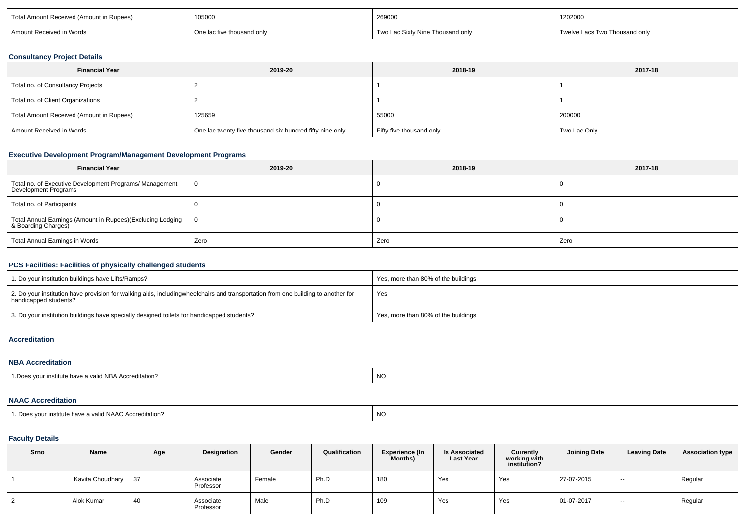| Total<br>≒in Rupees)<br>u (Amoun'<br>ueivet | 105000                 | 269000                        | 1202000       |  |
|---------------------------------------------|------------------------|-------------------------------|---------------|--|
| in Words<br>Amount                          | าousand only<br>٬۱۵ th | ousand only .<br>c Sixty Nine | Thousand only |  |

### **Consultancy Project Details**

| <b>Financial Year</b>                    | 2019-20                                                  | 2018-19                  | 2017-18      |  |  |
|------------------------------------------|----------------------------------------------------------|--------------------------|--------------|--|--|
| Total no. of Consultancy Projects        |                                                          |                          |              |  |  |
| Total no. of Client Organizations        |                                                          |                          |              |  |  |
| Total Amount Received (Amount in Rupees) | 125659                                                   | 55000                    | 200000       |  |  |
| Amount Received in Words                 | One lac twenty five thousand six hundred fifty nine only | Fifty five thousand only | Two Lac Only |  |  |

### **Executive Development Program/Management Development Programs**

| <b>Financial Year</b>                                                             | 2019-20 | 2018-19 | 2017-18 |  |
|-----------------------------------------------------------------------------------|---------|---------|---------|--|
| Total no. of Executive Development Programs/ Management<br>Development Programs   |         |         |         |  |
| Total no. of Participants                                                         |         |         |         |  |
| Total Annual Earnings (Amount in Rupees)(Excluding Lodging<br>& Boarding Charges) |         |         |         |  |
| Total Annual Earnings in Words                                                    | Zero    | Zero    | Zero    |  |

### **PCS Facilities: Facilities of physically challenged students**

| 1. Do your institution buildings have Lifts/Ramps?                                                                                                             | Yes, more than 80% of the buildings |
|----------------------------------------------------------------------------------------------------------------------------------------------------------------|-------------------------------------|
| $\,$ 2. Do your institution have provision for walking aids, includingwheelchairs and transportation from one building to another for<br>handicapped students? | Yes                                 |
| 3. Do your institution buildings have specially designed toilets for handicapped students?                                                                     | Yes, more than 80% of the buildings |

#### **Accreditation**

#### **NBA Accreditation**

| 1. Does your institute have a valid NBA Accreditation? | NO |
|--------------------------------------------------------|----|
|--------------------------------------------------------|----|

#### **NAAC Accreditation**

|                                                                     | N1  |
|---------------------------------------------------------------------|-----|
| <sup>1</sup> . Does your institute have a valid NAAC Accreditation? | יצו |
|                                                                     |     |

### **Faculty Details**

| Srno | Name             | Age | Designation            | Gender | Qualification | <b>Experience (In</b><br><b>Months)</b> | <b>Is Associated</b><br>Last Year | Currently<br>working with<br>institution? | <b>Joining Date</b> | <b>Leaving Date</b> | <b>Association type</b> |
|------|------------------|-----|------------------------|--------|---------------|-----------------------------------------|-----------------------------------|-------------------------------------------|---------------------|---------------------|-------------------------|
|      | Kavita Choudhary | 37  | Associate<br>Professor | Female | Ph.D          | 180                                     | Yes                               | Yes                                       | 27-07-2015          | $- -$               | Regular                 |
|      | Alok Kumar       | -40 | Associate<br>Professor | Male   | Ph.D          | 109                                     | Yes                               | Yes                                       | 01-07-2017          | $- -$               | Regular                 |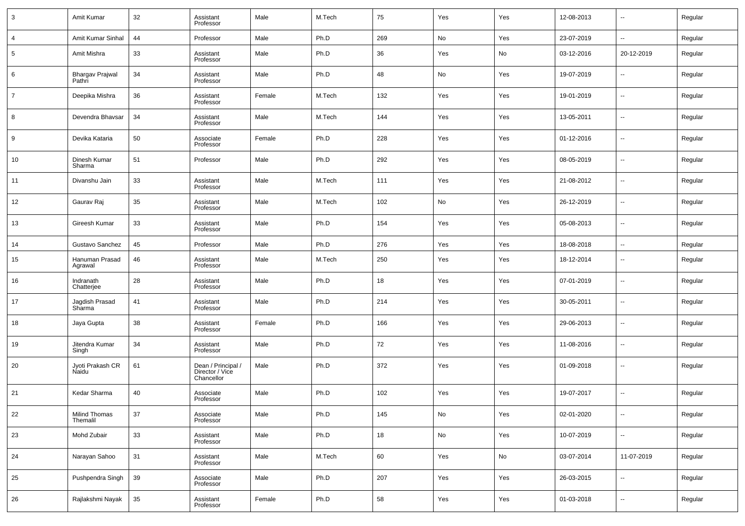| $\mathbf{3}$    | Amit Kumar                       | 32     | Assistant<br>Professor                              | Male   | M.Tech | 75  | Yes | Yes | 12-08-2013 | $\overline{\phantom{a}}$ | Regular |
|-----------------|----------------------------------|--------|-----------------------------------------------------|--------|--------|-----|-----|-----|------------|--------------------------|---------|
| $\overline{4}$  | Amit Kumar Sinhal                | 44     | Professor                                           | Male   | Ph.D   | 269 | No  | Yes | 23-07-2019 | $\ddotsc$                | Regular |
| $5\phantom{.0}$ | Amit Mishra                      | 33     | Assistant<br>Professor                              | Male   | Ph.D   | 36  | Yes | No  | 03-12-2016 | 20-12-2019               | Regular |
| 6               | <b>Bhargav Prajwal</b><br>Pathri | 34     | Assistant<br>Professor                              | Male   | Ph.D   | 48  | No  | Yes | 19-07-2019 | $\overline{\phantom{a}}$ | Regular |
| $\overline{7}$  | Deepika Mishra                   | 36     | Assistant<br>Professor                              | Female | M.Tech | 132 | Yes | Yes | 19-01-2019 | $\overline{\phantom{a}}$ | Regular |
| 8               | Devendra Bhavsar                 | 34     | Assistant<br>Professor                              | Male   | M.Tech | 144 | Yes | Yes | 13-05-2011 | $\overline{\phantom{a}}$ | Regular |
| 9               | Devika Kataria                   | 50     | Associate<br>Professor                              | Female | Ph.D   | 228 | Yes | Yes | 01-12-2016 | $\overline{\phantom{a}}$ | Regular |
| 10              | Dinesh Kumar<br>Sharma           | 51     | Professor                                           | Male   | Ph.D   | 292 | Yes | Yes | 08-05-2019 | $\overline{\phantom{a}}$ | Regular |
| 11              | Divanshu Jain                    | 33     | Assistant<br>Professor                              | Male   | M.Tech | 111 | Yes | Yes | 21-08-2012 | $\overline{\phantom{a}}$ | Regular |
| 12              | Gaurav Raj                       | 35     | Assistant<br>Professor                              | Male   | M.Tech | 102 | No  | Yes | 26-12-2019 | $\overline{\phantom{a}}$ | Regular |
| 13              | Gireesh Kumar                    | 33     | Assistant<br>Professor                              | Male   | Ph.D   | 154 | Yes | Yes | 05-08-2013 | $\overline{\phantom{a}}$ | Regular |
| 14              | Gustavo Sanchez                  | 45     | Professor                                           | Male   | Ph.D   | 276 | Yes | Yes | 18-08-2018 | $\sim$                   | Regular |
| 15              | Hanuman Prasad<br>Agrawal        | 46     | Assistant<br>Professor                              | Male   | M.Tech | 250 | Yes | Yes | 18-12-2014 | $\overline{\phantom{a}}$ | Regular |
| 16              | Indranath<br>Chatterjee          | 28     | Assistant<br>Professor                              | Male   | Ph.D   | 18  | Yes | Yes | 07-01-2019 | $\overline{\phantom{a}}$ | Regular |
| 17              | Jagdish Prasad<br>Sharma         | 41     | Assistant<br>Professor                              | Male   | Ph.D   | 214 | Yes | Yes | 30-05-2011 | $\overline{\phantom{a}}$ | Regular |
| 18              | Jaya Gupta                       | 38     | Assistant<br>Professor                              | Female | Ph.D   | 166 | Yes | Yes | 29-06-2013 | $\overline{\phantom{a}}$ | Regular |
| 19              | Jitendra Kumar<br>Singh          | 34     | Assistant<br>Professor                              | Male   | Ph.D   | 72  | Yes | Yes | 11-08-2016 | $\overline{\phantom{a}}$ | Regular |
| 20              | Jyoti Prakash CR<br>Naidu        | 61     | Dean / Principal /<br>Director / Vice<br>Chancellor | Male   | Ph.D   | 372 | Yes | Yes | 01-09-2018 | $\overline{\phantom{a}}$ | Regular |
| 21              | Kedar Sharma                     | 40     | Associate<br>Professor                              | Male   | Ph.D   | 102 | Yes | Yes | 19-07-2017 | $\overline{\phantom{a}}$ | Regular |
| 22              | Milind Thomas<br>Themalil        | 37     | Associate<br>Professor                              | Male   | Ph.D   | 145 | No  | Yes | 02-01-2020 | $\overline{\phantom{a}}$ | Regular |
| 23              | Mohd Zubair                      | 33     | Assistant<br>Professor                              | Male   | Ph.D   | 18  | No  | Yes | 10-07-2019 | $\sim$                   | Regular |
| 24              | Narayan Sahoo                    | 31     | Assistant<br>Professor                              | Male   | M.Tech | 60  | Yes | No  | 03-07-2014 | 11-07-2019               | Regular |
| 25              | Pushpendra Singh                 | $39\,$ | Associate<br>Professor                              | Male   | Ph.D   | 207 | Yes | Yes | 26-03-2015 | $\sim$                   | Regular |
| 26              | Rajlakshmi Nayak                 | 35     | Assistant<br>Professor                              | Female | Ph.D   | 58  | Yes | Yes | 01-03-2018 | $\overline{\phantom{a}}$ | Regular |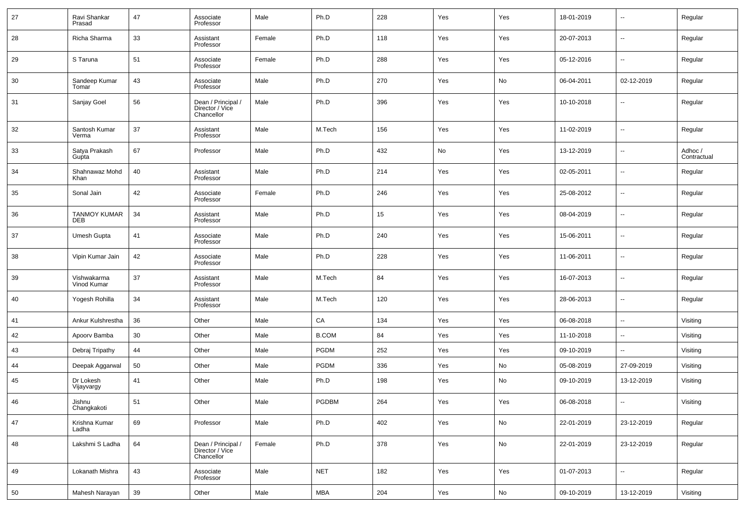| 27 | Ravi Shankar<br>Prasad     | 47 | Associate<br>Professor                              | Male   | Ph.D         | 228 | Yes | Yes | 18-01-2019 | --         | Regular                |
|----|----------------------------|----|-----------------------------------------------------|--------|--------------|-----|-----|-----|------------|------------|------------------------|
| 28 | Richa Sharma               | 33 | Assistant<br>Professor                              | Female | Ph.D         | 118 | Yes | Yes | 20-07-2013 | --         | Regular                |
| 29 | S Taruna                   | 51 | Associate<br>Professor                              | Female | Ph.D         | 288 | Yes | Yes | 05-12-2016 | --         | Regular                |
| 30 | Sandeep Kumar<br>Tomar     | 43 | Associate<br>Professor                              | Male   | Ph.D         | 270 | Yes | No  | 06-04-2011 | 02-12-2019 | Regular                |
| 31 | Sanjay Goel                | 56 | Dean / Principal /<br>Director / Vice<br>Chancellor | Male   | Ph.D         | 396 | Yes | Yes | 10-10-2018 | ۰.         | Regular                |
| 32 | Santosh Kumar<br>Verma     | 37 | Assistant<br>Professor                              | Male   | M.Tech       | 156 | Yes | Yes | 11-02-2019 | --         | Regular                |
| 33 | Satya Prakash<br>Gupta     | 67 | Professor                                           | Male   | Ph.D         | 432 | No  | Yes | 13-12-2019 | ш.         | Adhoc /<br>Contractual |
| 34 | Shahnawaz Mohd<br>Khan     | 40 | Assistant<br>Professor                              | Male   | Ph.D         | 214 | Yes | Yes | 02-05-2011 | --         | Regular                |
| 35 | Sonal Jain                 | 42 | Associate<br>Professor                              | Female | Ph.D         | 246 | Yes | Yes | 25-08-2012 | --         | Regular                |
| 36 | <b>TANMOY KUMAR</b><br>DEB | 34 | Assistant<br>Professor                              | Male   | Ph.D         | 15  | Yes | Yes | 08-04-2019 | --         | Regular                |
| 37 | Umesh Gupta                | 41 | Associate<br>Professor                              | Male   | Ph.D         | 240 | Yes | Yes | 15-06-2011 | --         | Regular                |
| 38 | Vipin Kumar Jain           | 42 | Associate<br>Professor                              | Male   | Ph.D         | 228 | Yes | Yes | 11-06-2011 | --         | Regular                |
| 39 | Vishwakarma<br>Vinod Kumar | 37 | Assistant<br>Professor                              | Male   | M.Tech       | 84  | Yes | Yes | 16-07-2013 | --         | Regular                |
| 40 | Yogesh Rohilla             | 34 | Assistant<br>Professor                              | Male   | M.Tech       | 120 | Yes | Yes | 28-06-2013 | ш.         | Regular                |
| 41 | Ankur Kulshrestha          | 36 | Other                                               | Male   | CA           | 134 | Yes | Yes | 06-08-2018 | $\sim$     | Visiting               |
| 42 | Apoorv Bamba               | 30 | Other                                               | Male   | <b>B.COM</b> | 84  | Yes | Yes | 11-10-2018 | $\sim$     | Visiting               |
| 43 | Debraj Tripathy            | 44 | Other                                               | Male   | <b>PGDM</b>  | 252 | Yes | Yes | 09-10-2019 | --         | Visiting               |
| 44 | Deepak Aggarwal            | 50 | Other                                               | Male   | <b>PGDM</b>  | 336 | Yes | No  | 05-08-2019 | 27-09-2019 | Visiting               |
| 45 | Dr Lokesh<br>Vijayvargy    | 41 | Other                                               | Male   | Ph.D         | 198 | Yes | No  | 09-10-2019 | 13-12-2019 | Visiting               |
| 46 | Jishnu<br>Changkakoti      | 51 | Other                                               | Male   | PGDBM        | 264 | Yes | Yes | 06-08-2018 | --         | Visiting               |
| 47 | Krishna Kumar<br>Ladha     | 69 | Professor                                           | Male   | Ph.D         | 402 | Yes | No  | 22-01-2019 | 23-12-2019 | Regular                |
| 48 | Lakshmi S Ladha            | 64 | Dean / Principal /<br>Director / Vice<br>Chancellor | Female | Ph.D         | 378 | Yes | No  | 22-01-2019 | 23-12-2019 | Regular                |
| 49 | Lokanath Mishra            | 43 | Associate<br>Professor                              | Male   | <b>NET</b>   | 182 | Yes | Yes | 01-07-2013 | н.         | Regular                |
| 50 | Mahesh Narayan             | 39 | Other                                               | Male   | MBA          | 204 | Yes | No  | 09-10-2019 | 13-12-2019 | Visiting               |